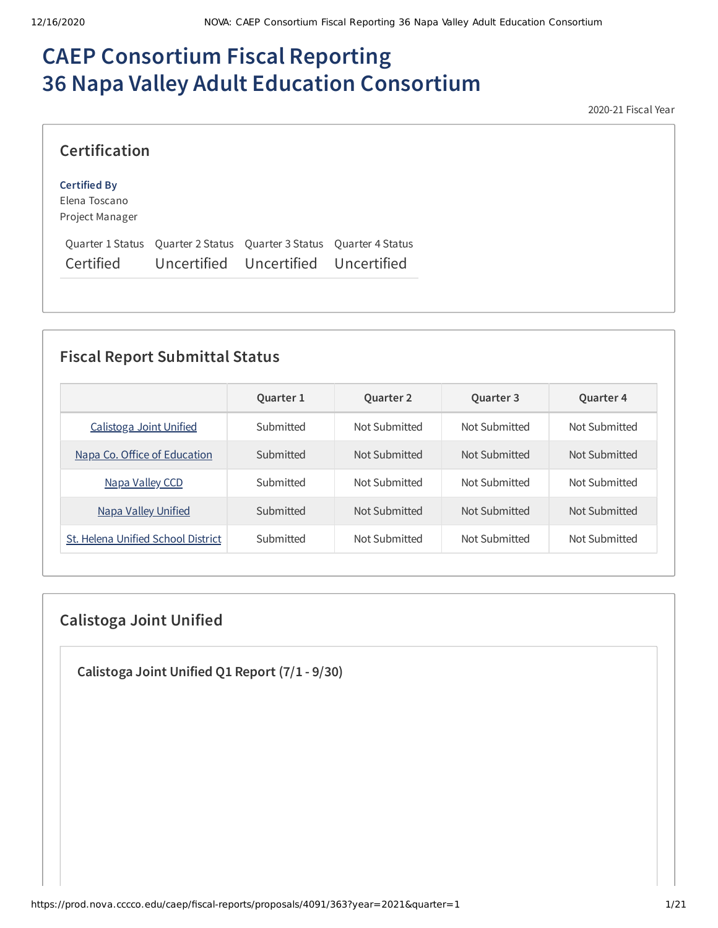# **CAEP Consortium Fiscal Reporting 36 Napa Valley Adult Education Consortium**

2020-21 Fiscal Year

| <b>Certification</b> |                                                                     |  |
|----------------------|---------------------------------------------------------------------|--|
| <b>Certified By</b>  |                                                                     |  |
| Elena Toscano        |                                                                     |  |
| Project Manager      |                                                                     |  |
|                      | Quarter 1 Status Quarter 2 Status Quarter 3 Status Quarter 4 Status |  |

Certified Uncertified Uncertified Uncertified

### **Fiscal Report Submittal Status**

|                                    | Quarter 1 | <b>Quarter 2</b> | Quarter 3     | <b>Quarter 4</b> |
|------------------------------------|-----------|------------------|---------------|------------------|
| Calistoga Joint Unified            | Submitted | Not Submitted    | Not Submitted | Not Submitted    |
| Napa Co. Office of Education       | Submitted | Not Submitted    | Not Submitted | Not Submitted    |
| Napa Valley CCD                    | Submitted | Not Submitted    | Not Submitted | Not Submitted    |
| <b>Napa Valley Unified</b>         | Submitted | Not Submitted    | Not Submitted | Not Submitted    |
| St. Helena Unified School District | Submitted | Not Submitted    | Not Submitted | Not Submitted    |

### **Calistoga Joint Unified**

**Calistoga Joint Unified Q1 Report (7/1 - 9/30)**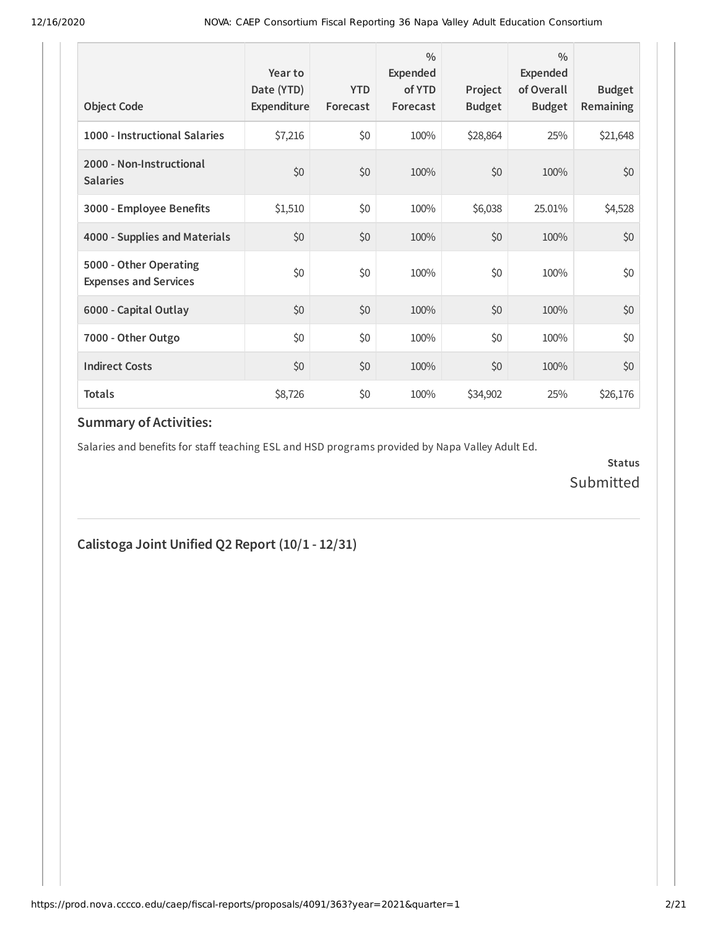| <b>Object Code</b>                                     | Year to<br>Date (YTD)<br>Expenditure | <b>YTD</b><br>Forecast | $\frac{0}{0}$<br>Expended<br>of YTD<br>Forecast | Project<br><b>Budget</b> | $\frac{0}{0}$<br>Expended<br>of Overall<br><b>Budget</b> | <b>Budget</b><br><b>Remaining</b> |
|--------------------------------------------------------|--------------------------------------|------------------------|-------------------------------------------------|--------------------------|----------------------------------------------------------|-----------------------------------|
| 1000 - Instructional Salaries                          | \$7,216                              | \$0                    | 100%                                            | \$28,864                 | 25%                                                      | \$21,648                          |
| 2000 - Non-Instructional<br><b>Salaries</b>            | \$0                                  | \$0                    | 100%                                            | \$0                      | 100%                                                     | \$0                               |
| 3000 - Employee Benefits                               | \$1,510                              | \$0                    | 100%                                            | \$6,038                  | 25.01%                                                   | \$4,528                           |
| 4000 - Supplies and Materials                          | \$0                                  | \$0                    | 100%                                            | \$0                      | 100%                                                     | \$0                               |
| 5000 - Other Operating<br><b>Expenses and Services</b> | \$0                                  | \$0                    | 100%                                            | \$0                      | 100%                                                     | \$0                               |
| 6000 - Capital Outlay                                  | \$0                                  | \$0                    | 100%                                            | \$0                      | 100%                                                     | \$0                               |
| 7000 - Other Outgo                                     | \$0                                  | \$0                    | 100%                                            | \$0                      | 100%                                                     | \$0                               |
| <b>Indirect Costs</b>                                  | \$0                                  | \$0                    | 100%                                            | \$0                      | 100%                                                     | \$0                               |
| <b>Totals</b>                                          | \$8,726                              | \$0                    | 100%                                            | \$34,902                 | 25%                                                      | \$26,176                          |

Salaries and benefits for staff teaching ESL and HSD programs provided by Napa Valley Adult Ed.

**Status** Submitted

# **Calistoga Joint Unified Q2 Report (10/1 - 12/31)**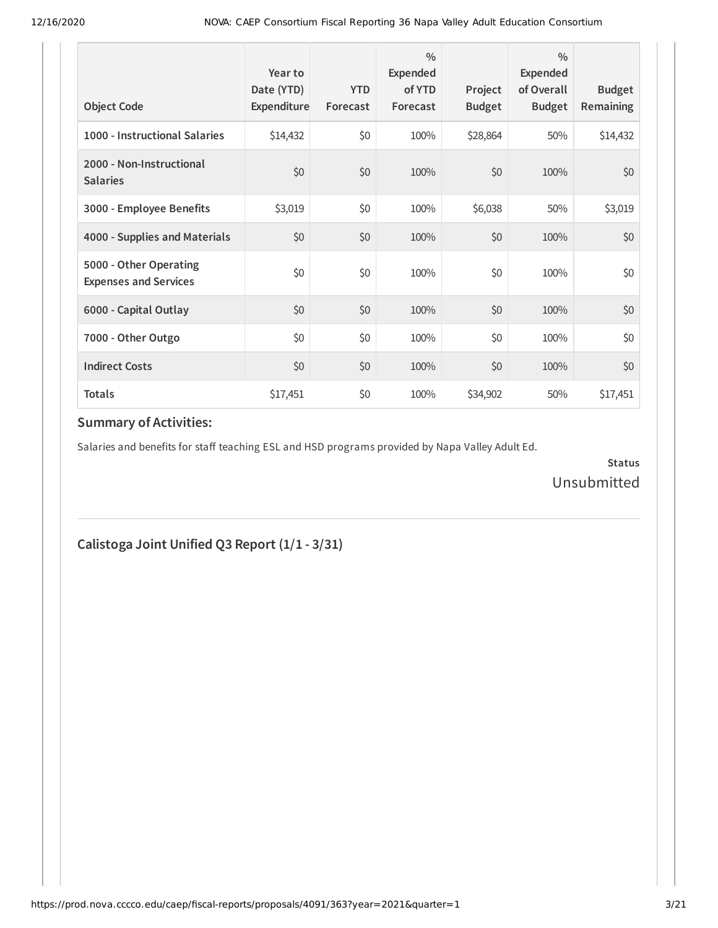| <b>Object Code</b>                                     | Year to<br>Date (YTD)<br>Expenditure | <b>YTD</b><br>Forecast | $\frac{0}{0}$<br>Expended<br>of YTD<br>Forecast | Project<br><b>Budget</b> | $\frac{0}{0}$<br>Expended<br>of Overall<br><b>Budget</b> | <b>Budget</b><br><b>Remaining</b> |
|--------------------------------------------------------|--------------------------------------|------------------------|-------------------------------------------------|--------------------------|----------------------------------------------------------|-----------------------------------|
| 1000 - Instructional Salaries                          | \$14,432                             | \$0                    | 100%                                            | \$28,864                 | 50%                                                      | \$14,432                          |
| 2000 - Non-Instructional<br><b>Salaries</b>            | \$0                                  | \$0                    | 100%                                            | \$0                      | 100%                                                     | \$0                               |
| 3000 - Employee Benefits                               | \$3,019                              | \$0                    | 100%                                            | \$6,038                  | 50%                                                      | \$3,019                           |
| 4000 - Supplies and Materials                          | \$0                                  | \$0                    | 100%                                            | \$0                      | 100%                                                     | \$0                               |
| 5000 - Other Operating<br><b>Expenses and Services</b> | \$0                                  | \$0                    | 100%                                            | \$0                      | 100%                                                     | \$0                               |
| 6000 - Capital Outlay                                  | \$0                                  | \$0                    | 100%                                            | \$0                      | 100%                                                     | \$0                               |
| 7000 - Other Outgo                                     | \$0                                  | \$0                    | 100%                                            | \$0                      | 100%                                                     | \$0                               |
| <b>Indirect Costs</b>                                  | \$0                                  | \$0                    | 100%                                            | \$0                      | 100%                                                     | \$0                               |
| <b>Totals</b>                                          | \$17,451                             | \$0                    | 100%                                            | \$34,902                 | 50%                                                      | \$17,451                          |

Salaries and benefits for staff teaching ESL and HSD programs provided by Napa Valley Adult Ed.

**Status** Unsubmitted

**Calistoga Joint Unified Q3 Report (1/1 - 3/31)**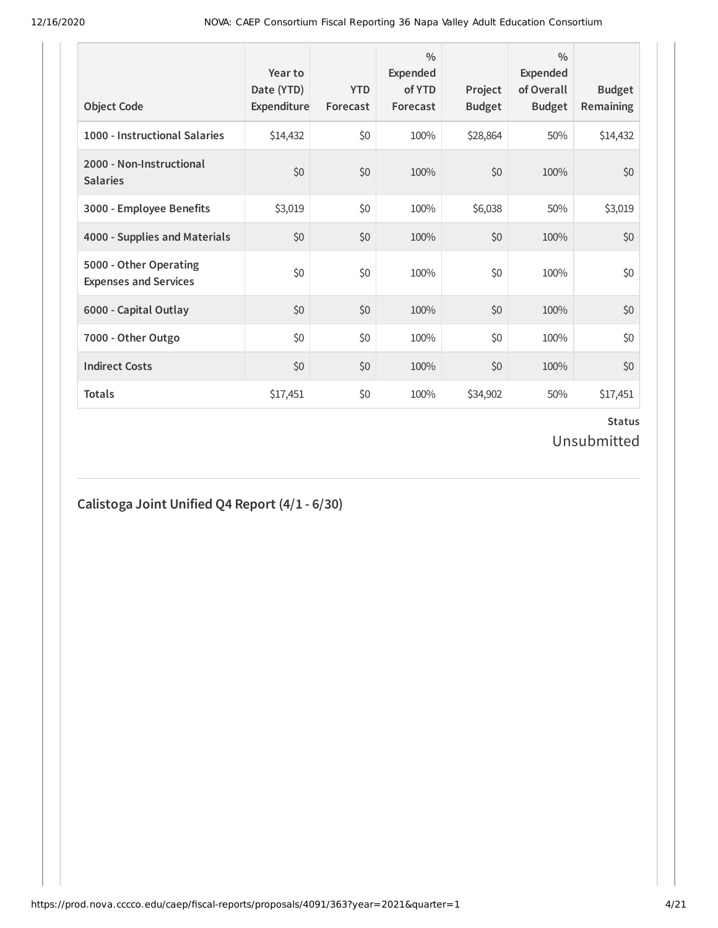| <b>Object Code</b>                                     | Year to<br>Date (YTD)<br>Expenditure | <b>YTD</b><br>Forecast | $\frac{0}{0}$<br>Expended<br>of YTD<br>Forecast | Project<br><b>Budget</b> | $\frac{0}{0}$<br>Expended<br>of Overall<br><b>Budget</b> | <b>Budget</b><br><b>Remaining</b> |
|--------------------------------------------------------|--------------------------------------|------------------------|-------------------------------------------------|--------------------------|----------------------------------------------------------|-----------------------------------|
| 1000 - Instructional Salaries                          | \$14,432                             | \$0                    | 100%                                            | \$28,864                 | 50%                                                      | \$14,432                          |
| 2000 - Non-Instructional<br><b>Salaries</b>            | \$0                                  | \$0                    | 100%                                            | \$0                      | 100%                                                     | \$0                               |
| 3000 - Employee Benefits                               | \$3,019                              | \$0                    | 100%                                            | \$6,038                  | 50%                                                      | \$3,019                           |
| 4000 - Supplies and Materials                          | \$0                                  | \$0                    | 100%                                            | \$0                      | 100%                                                     | \$0                               |
| 5000 - Other Operating<br><b>Expenses and Services</b> | \$0                                  | \$0                    | 100%                                            | \$0                      | 100%                                                     | \$0                               |
| 6000 - Capital Outlay                                  | \$0                                  | \$0                    | 100%                                            | \$0                      | 100%                                                     | \$0                               |
| 7000 - Other Outgo                                     | \$0                                  | \$0                    | 100%                                            | \$0                      | 100%                                                     | \$0                               |
| <b>Indirect Costs</b>                                  | \$0                                  | \$0                    | 100%                                            | \$0                      | 100%                                                     | \$0                               |
| <b>Totals</b>                                          | \$17,451                             | \$0                    | 100%                                            | \$34,902                 | 50%                                                      | \$17,451                          |

# **Calistoga Joint Unified Q4 Report (4/1 - 6/30)**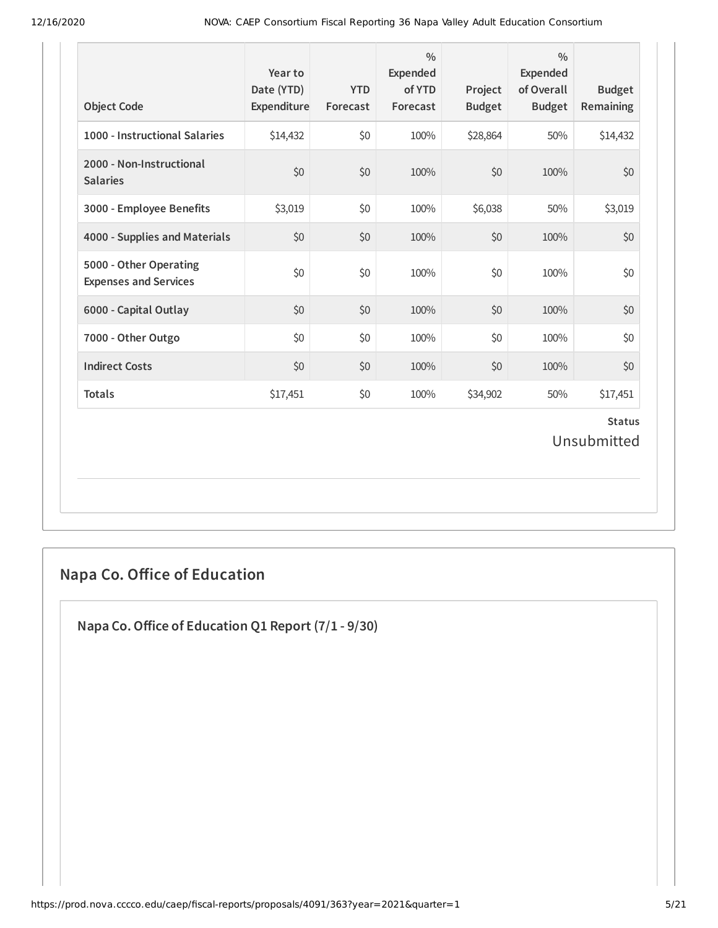| <b>Object Code</b>                                     | Year to<br>Date (YTD)<br>Expenditure | <b>YTD</b><br>Forecast | $\frac{0}{0}$<br>Expended<br>of YTD<br>Forecast | Project<br><b>Budget</b> | $\frac{0}{0}$<br><b>Expended</b><br>of Overall<br><b>Budget</b> | <b>Budget</b><br>Remaining   |
|--------------------------------------------------------|--------------------------------------|------------------------|-------------------------------------------------|--------------------------|-----------------------------------------------------------------|------------------------------|
| 1000 - Instructional Salaries                          | \$14,432                             | \$0                    | 100%                                            | \$28,864                 | 50%                                                             | \$14,432                     |
| 2000 - Non-Instructional<br><b>Salaries</b>            | \$0                                  | \$0                    | 100%                                            | \$0                      | 100%                                                            | \$0                          |
| 3000 - Employee Benefits                               | \$3,019                              | \$0                    | 100%                                            | \$6,038                  | 50%                                                             | \$3,019                      |
| 4000 - Supplies and Materials                          | \$0                                  | \$0                    | 100%                                            | \$0                      | 100%                                                            | \$0                          |
| 5000 - Other Operating<br><b>Expenses and Services</b> | \$0                                  | \$0                    | 100%                                            | \$0                      | 100%                                                            | \$0                          |
| 6000 - Capital Outlay                                  | \$0                                  | \$0                    | 100%                                            | \$0                      | 100%                                                            | \$0                          |
| 7000 - Other Outgo                                     | \$0                                  | \$0                    | 100%                                            | \$0                      | 100%                                                            | \$0                          |
| <b>Indirect Costs</b>                                  | \$0                                  | \$0                    | 100%                                            | \$0                      | 100%                                                            | \$0                          |
| <b>Totals</b>                                          | \$17,451                             | \$0                    | 100%                                            | \$34,902                 | 50%                                                             | \$17,451                     |
|                                                        |                                      |                        |                                                 |                          |                                                                 | <b>Status</b><br>Unsubmitted |
|                                                        |                                      |                        |                                                 |                          |                                                                 |                              |

# **Napa Co. Oice of Education**

**Napa Co.Oice of Education Q1 Report (7/1 - 9/30)**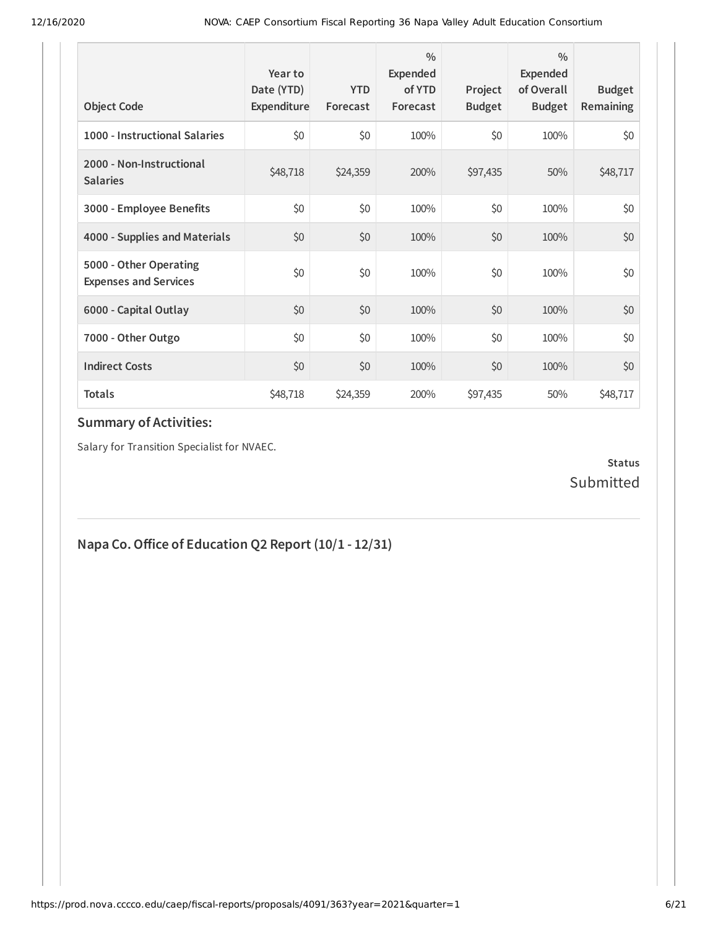| <b>Object Code</b>                                     | Year to<br>Date (YTD)<br>Expenditure | <b>YTD</b><br>Forecast | $\frac{0}{0}$<br><b>Expended</b><br>of YTD<br>Forecast | Project<br><b>Budget</b> | $\frac{0}{0}$<br><b>Expended</b><br>of Overall<br><b>Budget</b> | <b>Budget</b><br><b>Remaining</b> |
|--------------------------------------------------------|--------------------------------------|------------------------|--------------------------------------------------------|--------------------------|-----------------------------------------------------------------|-----------------------------------|
| 1000 - Instructional Salaries                          | \$0                                  | \$0                    | 100%                                                   | \$0                      | 100%                                                            | \$0                               |
| 2000 - Non-Instructional<br><b>Salaries</b>            | \$48,718                             | \$24,359               | 200%                                                   | \$97,435                 | 50%                                                             | \$48,717                          |
| 3000 - Employee Benefits                               | \$0                                  | \$0                    | 100%                                                   | \$0                      | 100%                                                            | \$0                               |
| 4000 - Supplies and Materials                          | \$0                                  | \$0                    | 100%                                                   | \$0                      | 100%                                                            | \$0                               |
| 5000 - Other Operating<br><b>Expenses and Services</b> | \$0                                  | \$0                    | 100%                                                   | \$0                      | 100%                                                            | \$0                               |
| 6000 - Capital Outlay                                  | \$0                                  | \$0                    | 100%                                                   | \$0                      | 100%                                                            | \$0                               |
| 7000 - Other Outgo                                     | \$0                                  | \$0                    | 100%                                                   | \$0                      | 100%                                                            | \$0                               |
| <b>Indirect Costs</b>                                  | \$0                                  | \$0                    | 100%                                                   | \$0                      | 100%                                                            | \$0                               |
| <b>Totals</b>                                          | \$48,718                             | \$24,359               | 200%                                                   | \$97,435                 | 50%                                                             | \$48,717                          |

Salary for Transition Specialist for NVAEC.

#### **Status** Submitted

# **Napa Co.Oice of Education Q2 Report (10/1 - 12/31)**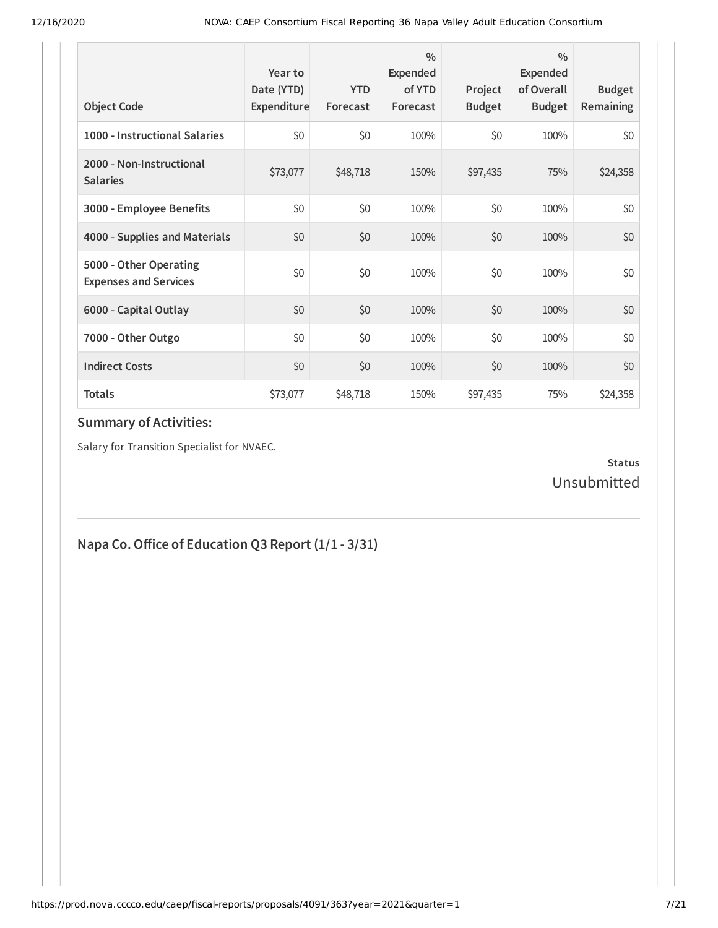| <b>Object Code</b>                                     | Year to<br>Date (YTD)<br>Expenditure | <b>YTD</b><br>Forecast | $\frac{0}{0}$<br>Expended<br>of YTD<br>Forecast | Project<br><b>Budget</b> | $\frac{0}{0}$<br><b>Expended</b><br>of Overall<br><b>Budget</b> | <b>Budget</b><br><b>Remaining</b> |
|--------------------------------------------------------|--------------------------------------|------------------------|-------------------------------------------------|--------------------------|-----------------------------------------------------------------|-----------------------------------|
| 1000 - Instructional Salaries                          | \$0                                  | \$0                    | 100%                                            | \$0                      | 100%                                                            | \$0                               |
| 2000 - Non-Instructional<br><b>Salaries</b>            | \$73,077                             | \$48,718               | 150%                                            | \$97,435                 | 75%                                                             | \$24,358                          |
| 3000 - Employee Benefits                               | \$0                                  | \$0                    | 100%                                            | \$0                      | 100%                                                            | \$0                               |
| 4000 - Supplies and Materials                          | \$0                                  | \$0                    | 100%                                            | \$0                      | 100%                                                            | \$0                               |
| 5000 - Other Operating<br><b>Expenses and Services</b> | \$0                                  | \$0                    | 100%                                            | \$0                      | 100%                                                            | \$0                               |
| 6000 - Capital Outlay                                  | \$0                                  | \$0                    | 100%                                            | \$0                      | 100%                                                            | \$0                               |
| 7000 - Other Outgo                                     | \$0                                  | \$0                    | 100%                                            | \$0                      | 100%                                                            | \$0                               |
| <b>Indirect Costs</b>                                  | \$0                                  | \$0                    | 100%                                            | \$0                      | 100%                                                            | \$0                               |
| <b>Totals</b>                                          | \$73,077                             | \$48,718               | 150%                                            | \$97,435                 | 75%                                                             | \$24,358                          |

Salary for Transition Specialist for NVAEC.

#### **Status** Unsubmitted

# **Napa Co. Office of Education Q3 Report**  $(1/1 - 3/31)$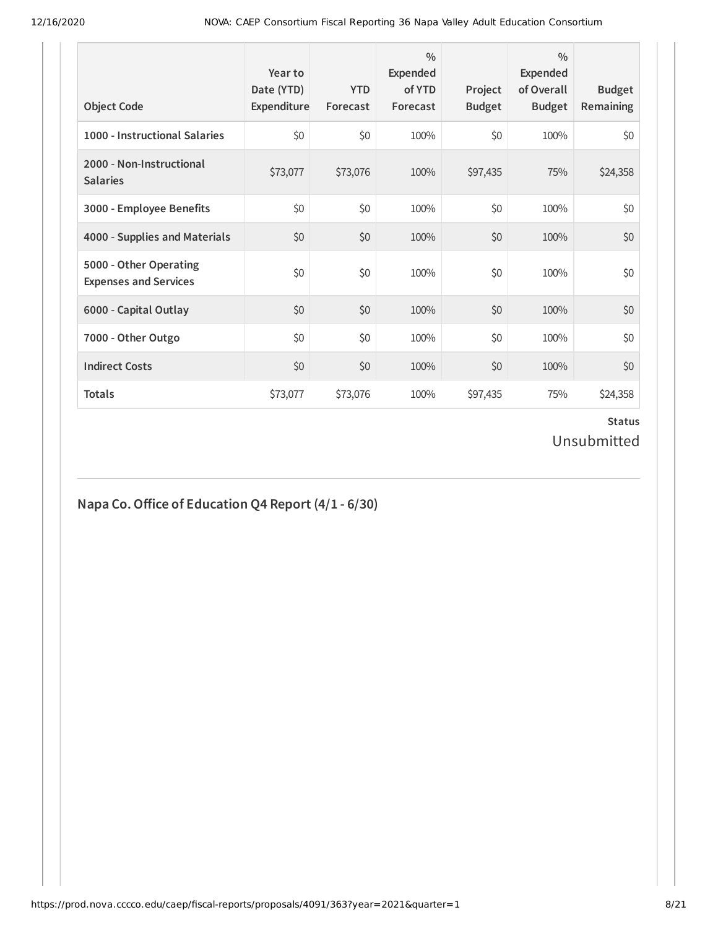| <b>Object Code</b>                                     | Year to<br>Date (YTD)<br>Expenditure | <b>YTD</b><br>Forecast | $\frac{0}{0}$<br><b>Expended</b><br>of YTD<br>Forecast | Project<br><b>Budget</b> | $\frac{0}{0}$<br><b>Expended</b><br>of Overall<br><b>Budget</b> | <b>Budget</b><br><b>Remaining</b> |
|--------------------------------------------------------|--------------------------------------|------------------------|--------------------------------------------------------|--------------------------|-----------------------------------------------------------------|-----------------------------------|
| 1000 - Instructional Salaries                          | \$0                                  | \$0                    | 100%                                                   | \$0                      | 100%                                                            | \$0                               |
| 2000 - Non-Instructional<br><b>Salaries</b>            | \$73,077                             | \$73,076               | 100%                                                   | \$97,435                 | 75%                                                             | \$24,358                          |
| 3000 - Employee Benefits                               | \$0                                  | \$0                    | 100%                                                   | \$0                      | 100%                                                            | \$0                               |
| 4000 - Supplies and Materials                          | \$0                                  | \$0                    | 100%                                                   | \$0                      | 100%                                                            | \$0                               |
| 5000 - Other Operating<br><b>Expenses and Services</b> | \$0                                  | \$0                    | 100%                                                   | \$0                      | 100%                                                            | \$0                               |
| 6000 - Capital Outlay                                  | \$0                                  | \$0                    | 100%                                                   | \$0                      | 100%                                                            | \$0                               |
| 7000 - Other Outgo                                     | \$0                                  | \$0                    | 100%                                                   | \$0                      | 100%                                                            | \$0                               |
| <b>Indirect Costs</b>                                  | \$0                                  | \$0                    | 100%                                                   | \$0                      | 100%                                                            | \$0                               |
| <b>Totals</b>                                          | \$73,077                             | \$73,076               | 100%                                                   | \$97,435                 | 75%                                                             | \$24,358                          |

#### **Napa Co.Oice of Education Q4 Report (4/1 - 6/30)**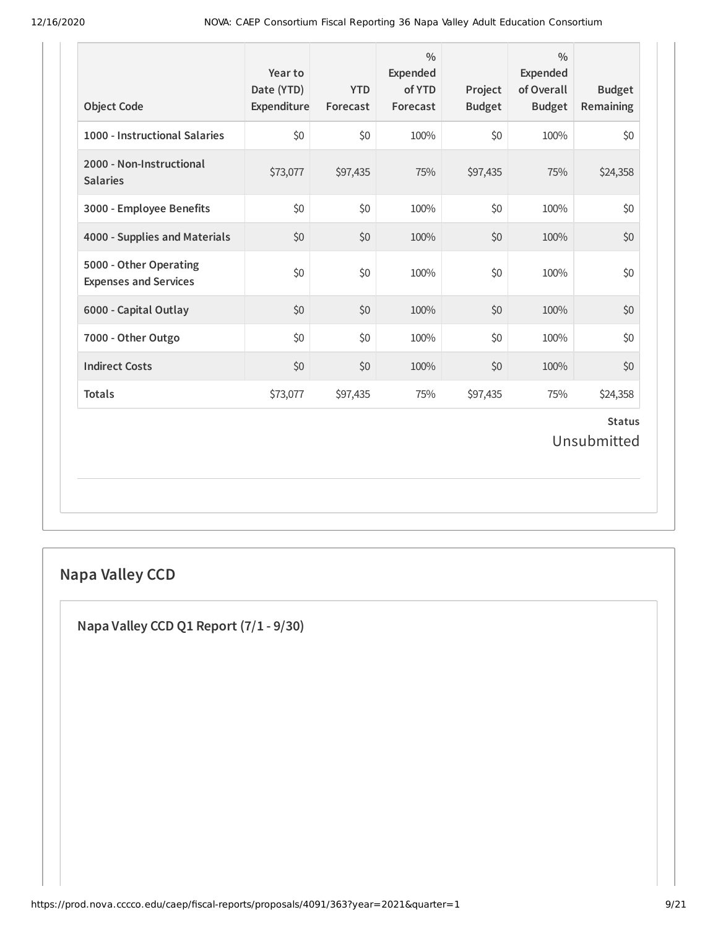| <b>Object Code</b>                                     | Year to<br>Date (YTD)<br>Expenditure | <b>YTD</b><br>Forecast | $\frac{0}{0}$<br>Expended<br>of YTD<br>Forecast | Project<br><b>Budget</b> | $\frac{0}{0}$<br><b>Expended</b><br>of Overall<br><b>Budget</b> | <b>Budget</b><br>Remaining   |
|--------------------------------------------------------|--------------------------------------|------------------------|-------------------------------------------------|--------------------------|-----------------------------------------------------------------|------------------------------|
| 1000 - Instructional Salaries                          | $$0$$                                | \$0                    | 100%                                            | \$0                      | 100%                                                            | \$0                          |
| 2000 - Non-Instructional<br><b>Salaries</b>            | \$73,077                             | \$97,435               | 75%                                             | \$97,435                 | 75%                                                             | \$24,358                     |
| 3000 - Employee Benefits                               | \$0                                  | \$0                    | 100%                                            | \$0                      | 100%                                                            | \$0                          |
| 4000 - Supplies and Materials                          | \$0                                  | \$0                    | 100%                                            | \$0                      | 100%                                                            | \$0                          |
| 5000 - Other Operating<br><b>Expenses and Services</b> | \$0                                  | \$0                    | 100%                                            | \$0                      | 100%                                                            | \$0                          |
| 6000 - Capital Outlay                                  | \$0                                  | \$0                    | 100%                                            | \$0                      | 100%                                                            | \$0                          |
| 7000 - Other Outgo                                     | \$0                                  | \$0                    | 100%                                            | \$0                      | 100%                                                            | \$0                          |
| <b>Indirect Costs</b>                                  | \$0                                  | \$0                    | 100%                                            | \$0                      | 100%                                                            | \$0                          |
| <b>Totals</b>                                          | \$73,077                             | \$97,435               | 75%                                             | \$97,435                 | 75%                                                             | \$24,358                     |
|                                                        |                                      |                        |                                                 |                          |                                                                 | <b>Status</b><br>Unsubmitted |
|                                                        |                                      |                        |                                                 |                          |                                                                 |                              |

# **Napa Valley CCD**

**Napa Valley CCD Q1 Report (7/1 - 9/30)**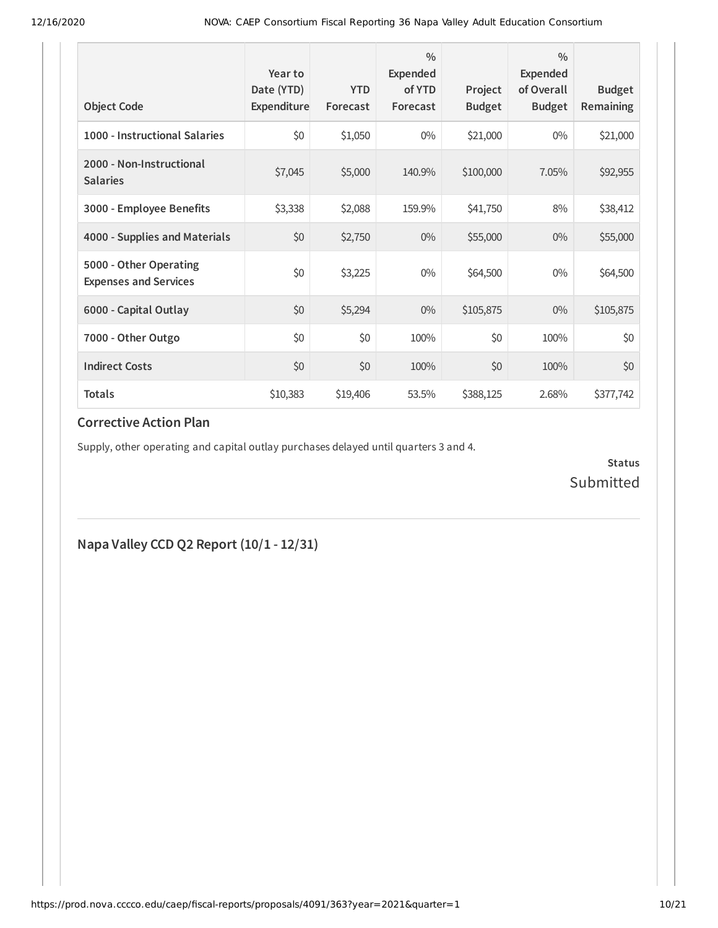| <b>Object Code</b>                                     | Year to<br>Date (YTD)<br>Expenditure | <b>YTD</b><br>Forecast | $\frac{0}{0}$<br><b>Expended</b><br>of YTD<br>Forecast | Project<br><b>Budget</b> | $\frac{0}{0}$<br><b>Expended</b><br>of Overall<br><b>Budget</b> | <b>Budget</b><br>Remaining |
|--------------------------------------------------------|--------------------------------------|------------------------|--------------------------------------------------------|--------------------------|-----------------------------------------------------------------|----------------------------|
| 1000 - Instructional Salaries                          | \$0                                  | \$1,050                | $0\%$                                                  | \$21,000                 | $0\%$                                                           | \$21,000                   |
| 2000 - Non-Instructional<br><b>Salaries</b>            | \$7,045                              | \$5,000                | 140.9%                                                 | \$100,000                | 7.05%                                                           | \$92,955                   |
| 3000 - Employee Benefits                               | \$3,338                              | \$2,088                | 159.9%                                                 | \$41,750                 | 8%                                                              | \$38,412                   |
| 4000 - Supplies and Materials                          | \$0                                  | \$2,750                | $0\%$                                                  | \$55,000                 | $0\%$                                                           | \$55,000                   |
| 5000 - Other Operating<br><b>Expenses and Services</b> | \$0                                  | \$3,225                | $0\%$                                                  | \$64,500                 | $0\%$                                                           | \$64,500                   |
| 6000 - Capital Outlay                                  | \$0                                  | \$5,294                | $0\%$                                                  | \$105,875                | $0\%$                                                           | \$105,875                  |
| 7000 - Other Outgo                                     | \$0                                  | \$0                    | 100%                                                   | \$0                      | 100%                                                            | \$0                        |
| <b>Indirect Costs</b>                                  | \$0                                  | \$0                    | 100%                                                   | \$0                      | 100%                                                            | \$0                        |
| <b>Totals</b>                                          | \$10,383                             | \$19,406               | 53.5%                                                  | \$388,125                | 2.68%                                                           | \$377,742                  |

#### **Corrective Action Plan**

Supply, other operating and capital outlay purchases delayed until quarters 3 and 4.

**Status** Submitted

**Napa Valley CCD Q2 Report (10/1 - 12/31)**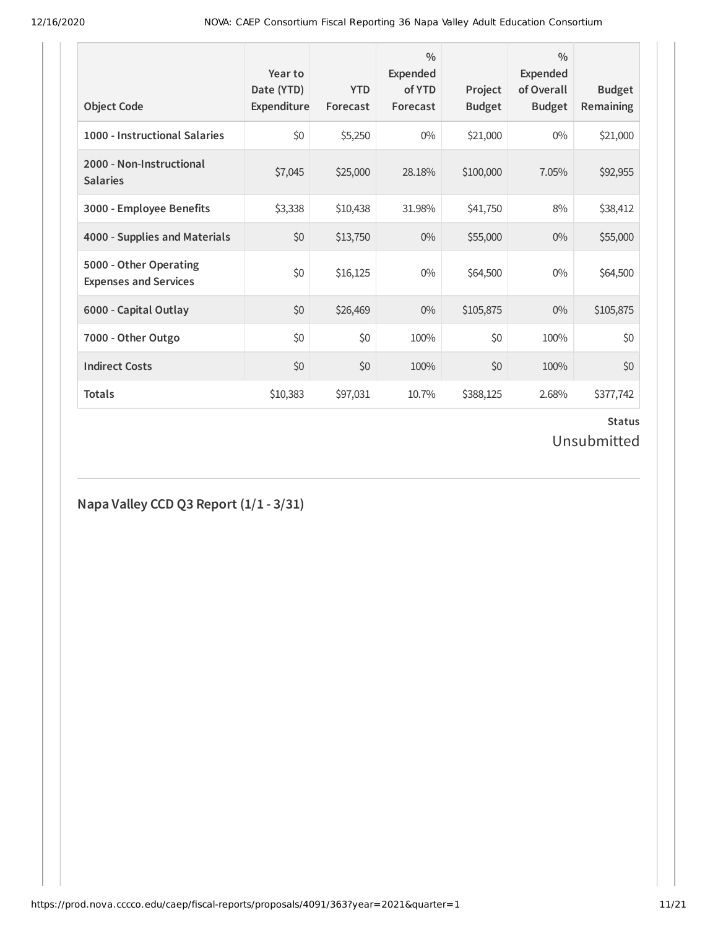| <b>Object Code</b>                                     | Year to<br>Date (YTD)<br>Expenditure | <b>YTD</b><br>Forecast | $\frac{0}{0}$<br>Expended<br>of YTD<br>Forecast | Project<br><b>Budget</b> | $\frac{0}{0}$<br>Expended<br>of Overall<br><b>Budget</b> | <b>Budget</b><br>Remaining |
|--------------------------------------------------------|--------------------------------------|------------------------|-------------------------------------------------|--------------------------|----------------------------------------------------------|----------------------------|
| 1000 - Instructional Salaries                          | \$0                                  | \$5,250                | $0\%$                                           | \$21,000                 | $0\%$                                                    | \$21,000                   |
| 2000 - Non-Instructional<br><b>Salaries</b>            | \$7,045                              | \$25,000               | 28.18%                                          | \$100,000                | 7.05%                                                    | \$92,955                   |
| 3000 - Employee Benefits                               | \$3,338                              | \$10,438               | 31.98%                                          | \$41,750                 | 8%                                                       | \$38,412                   |
| 4000 - Supplies and Materials                          | \$0                                  | \$13,750               | $0\%$                                           | \$55,000                 | $0\%$                                                    | \$55,000                   |
| 5000 - Other Operating<br><b>Expenses and Services</b> | \$0                                  | \$16,125               | $0\%$                                           | \$64,500                 | $0\%$                                                    | \$64,500                   |
| 6000 - Capital Outlay                                  | \$0                                  | \$26,469               | $0\%$                                           | \$105,875                | $0\%$                                                    | \$105,875                  |
| 7000 - Other Outgo                                     | \$0                                  | \$0                    | 100%                                            | \$0                      | 100%                                                     | \$0                        |
| <b>Indirect Costs</b>                                  | \$0                                  | \$0                    | 100%                                            | \$0                      | 100%                                                     | \$0                        |
| <b>Totals</b>                                          | \$10,383                             | \$97,031               | 10.7%                                           | \$388,125                | 2.68%                                                    | \$377,742                  |

#### **Napa Valley CCD Q3 Report (1/1 - 3/31)**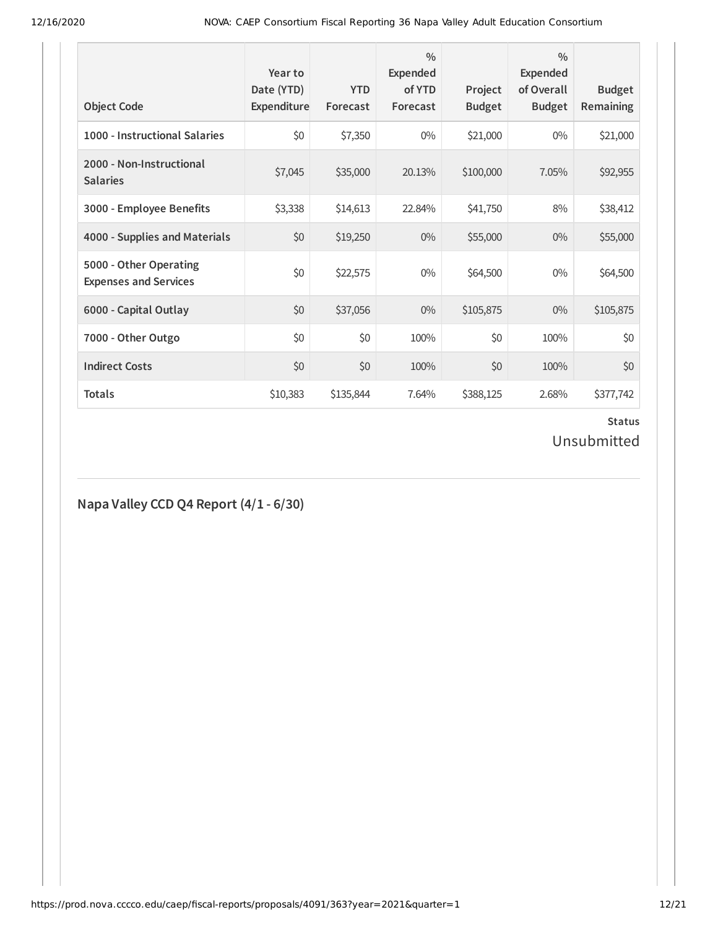| <b>Object Code</b>                                     | Year to<br>Date (YTD)<br>Expenditure | <b>YTD</b><br>Forecast | $\frac{0}{0}$<br><b>Expended</b><br>of YTD<br>Forecast | Project<br><b>Budget</b> | $\frac{0}{0}$<br>Expended<br>of Overall<br><b>Budget</b> | <b>Budget</b><br><b>Remaining</b> |
|--------------------------------------------------------|--------------------------------------|------------------------|--------------------------------------------------------|--------------------------|----------------------------------------------------------|-----------------------------------|
| 1000 - Instructional Salaries                          | \$0                                  | \$7,350                | $0\%$                                                  | \$21,000                 | $0\%$                                                    | \$21,000                          |
| 2000 - Non-Instructional<br><b>Salaries</b>            | \$7,045                              | \$35,000               | 20.13%                                                 | \$100,000                | 7.05%                                                    | \$92,955                          |
| 3000 - Employee Benefits                               | \$3,338                              | \$14,613               | 22.84%                                                 | \$41,750                 | 8%                                                       | \$38,412                          |
| 4000 - Supplies and Materials                          | \$0                                  | \$19,250               | $0\%$                                                  | \$55,000                 | $0\%$                                                    | \$55,000                          |
| 5000 - Other Operating<br><b>Expenses and Services</b> | \$0                                  | \$22,575               | $0\%$                                                  | \$64,500                 | $0\%$                                                    | \$64,500                          |
| 6000 - Capital Outlay                                  | \$0                                  | \$37,056               | $0\%$                                                  | \$105,875                | $0\%$                                                    | \$105,875                         |
| 7000 - Other Outgo                                     | \$0                                  | \$0                    | 100%                                                   | \$0                      | 100%                                                     | \$0                               |
| <b>Indirect Costs</b>                                  | \$0                                  | \$0                    | 100%                                                   | \$0                      | 100%                                                     | \$0                               |
| <b>Totals</b>                                          | \$10,383                             | \$135,844              | 7.64%                                                  | \$388,125                | 2.68%                                                    | \$377,742                         |

#### **Napa Valley CCD Q4 Report (4/1 - 6/30)**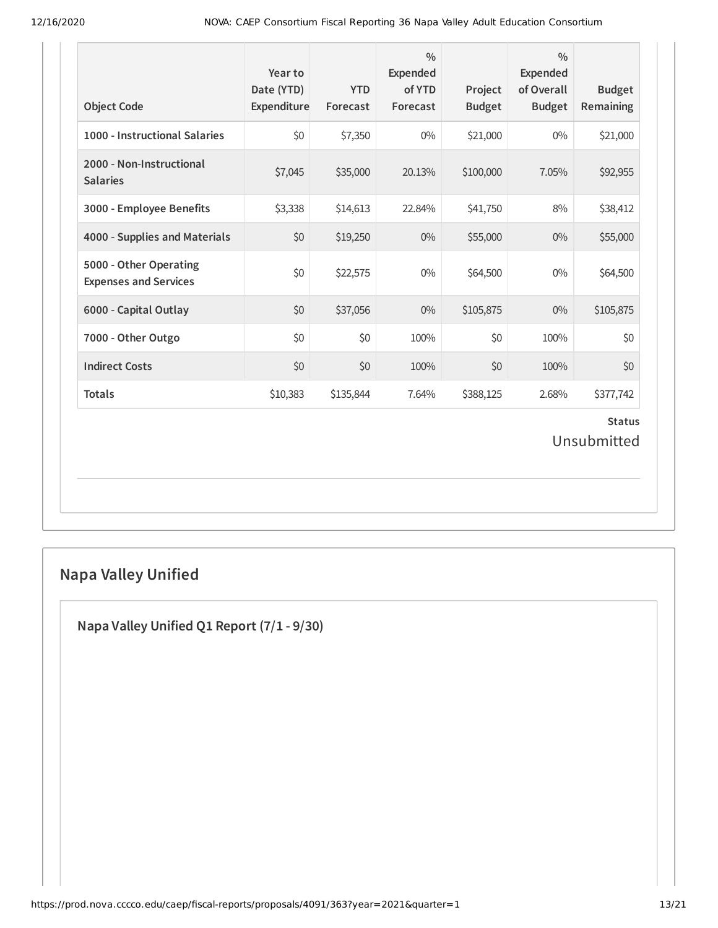| <b>Object Code</b>                                     | Year to<br>Date (YTD)<br>Expenditure | <b>YTD</b><br>Forecast | $\frac{0}{0}$<br><b>Expended</b><br>of YTD<br>Forecast | Project<br><b>Budget</b> | $\frac{0}{0}$<br>Expended<br>of Overall<br><b>Budget</b> | <b>Budget</b><br>Remaining   |
|--------------------------------------------------------|--------------------------------------|------------------------|--------------------------------------------------------|--------------------------|----------------------------------------------------------|------------------------------|
| 1000 - Instructional Salaries                          | \$0                                  | \$7,350                | $0\%$                                                  | \$21,000                 | $0\%$                                                    | \$21,000                     |
| 2000 - Non-Instructional<br><b>Salaries</b>            | \$7,045                              | \$35,000               | 20.13%                                                 | \$100,000                | 7.05%                                                    | \$92,955                     |
| 3000 - Employee Benefits                               | \$3,338                              | \$14,613               | 22.84%                                                 | \$41,750                 | 8%                                                       | \$38,412                     |
| 4000 - Supplies and Materials                          | \$0                                  | \$19,250               | $0\%$                                                  | \$55,000                 | 0%                                                       | \$55,000                     |
| 5000 - Other Operating<br><b>Expenses and Services</b> | \$0                                  | \$22,575               | $0\%$                                                  | \$64,500                 | $0\%$                                                    | \$64,500                     |
| 6000 - Capital Outlay                                  | \$0                                  | \$37,056               | $0\%$                                                  | \$105,875                | $0\%$                                                    | \$105,875                    |
| 7000 - Other Outgo                                     | \$0                                  | \$0                    | 100%                                                   | \$0                      | 100%                                                     | \$0                          |
| <b>Indirect Costs</b>                                  | \$0                                  | \$0                    | 100%                                                   | \$0                      | 100%                                                     | \$0                          |
| <b>Totals</b>                                          | \$10,383                             | \$135,844              | 7.64%                                                  | \$388,125                | 2.68%                                                    | \$377,742                    |
|                                                        |                                      |                        |                                                        |                          |                                                          | <b>Status</b><br>Unsubmitted |

# **Napa Valley Unified**

**Napa Valley Unified Q1 Report (7/1 - 9/30)**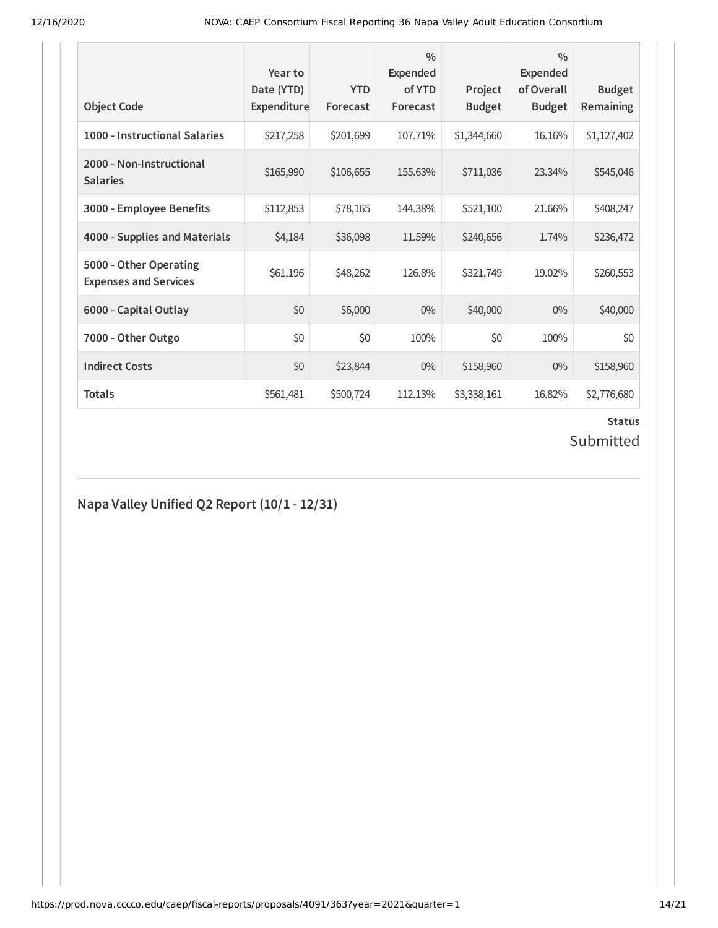| <b>Object Code</b>                                     | Year to<br>Date (YTD)<br>Expenditure | <b>YTD</b><br>Forecast | $\frac{0}{0}$<br><b>Expended</b><br>of YTD<br>Forecast | Project<br><b>Budget</b> | $\frac{0}{0}$<br><b>Expended</b><br>of Overall<br><b>Budget</b> | <b>Budget</b><br>Remaining |
|--------------------------------------------------------|--------------------------------------|------------------------|--------------------------------------------------------|--------------------------|-----------------------------------------------------------------|----------------------------|
| 1000 - Instructional Salaries                          | \$217,258                            | \$201,699              | 107.71%                                                | \$1,344,660              | 16.16%                                                          | \$1,127,402                |
| 2000 - Non-Instructional<br><b>Salaries</b>            | \$165,990                            | \$106,655              | 155.63%                                                | \$711,036                | 23.34%                                                          | \$545,046                  |
| 3000 - Employee Benefits                               | \$112,853                            | \$78,165               | 144.38%                                                | \$521,100                | 21.66%                                                          | \$408,247                  |
| 4000 - Supplies and Materials                          | \$4,184                              | \$36,098               | 11.59%                                                 | \$240,656                | 1.74%                                                           | \$236,472                  |
| 5000 - Other Operating<br><b>Expenses and Services</b> | \$61,196                             | \$48,262               | 126.8%                                                 | \$321,749                | 19.02%                                                          | \$260,553                  |
| 6000 - Capital Outlay                                  | \$0                                  | \$6,000                | $0\%$                                                  | \$40,000                 | $0\%$                                                           | \$40,000                   |
| 7000 - Other Outgo                                     | \$0                                  | \$0                    | 100%                                                   | \$0                      | 100%                                                            | \$0                        |
| <b>Indirect Costs</b>                                  | \$0                                  | \$23,844               | $0\%$                                                  | \$158,960                | $0\%$                                                           | \$158,960                  |
| <b>Totals</b>                                          | \$561,481                            | \$500,724              | 112.13%                                                | \$3,338,161              | 16.82%                                                          | \$2,776,680                |

# **Status**

# Submitted

#### **Napa Valley Unified Q2 Report (10/1 - 12/31)**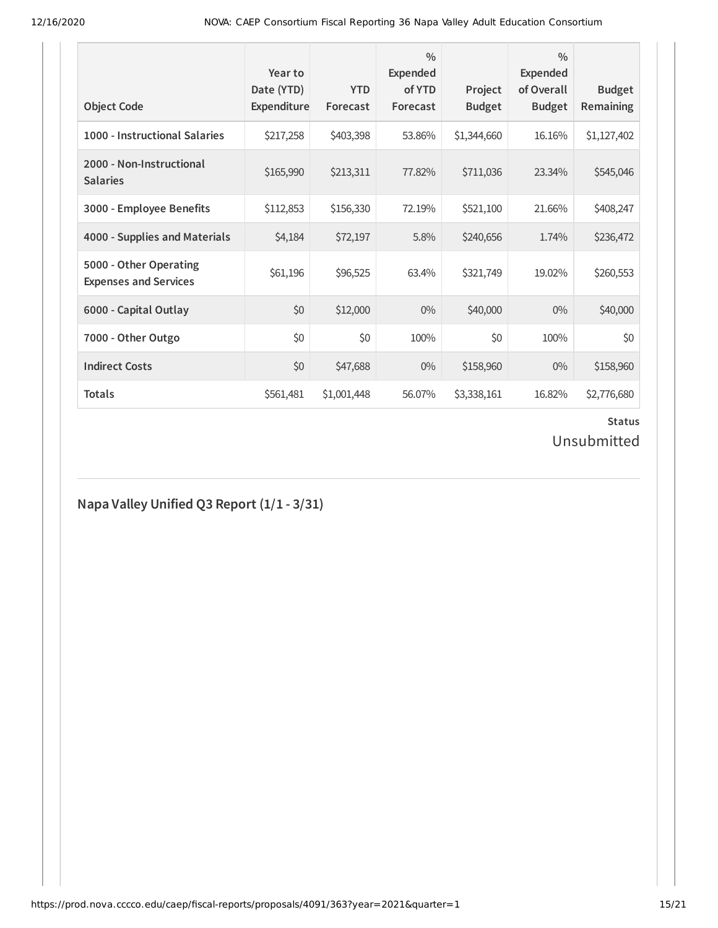| <b>Object Code</b>                                     | Year to<br>Date (YTD)<br>Expenditure | <b>YTD</b><br>Forecast | $\frac{0}{0}$<br>Expended<br>of YTD<br>Forecast | Project<br><b>Budget</b> | $\frac{0}{0}$<br><b>Expended</b><br>of Overall<br><b>Budget</b> | <b>Budget</b><br>Remaining |
|--------------------------------------------------------|--------------------------------------|------------------------|-------------------------------------------------|--------------------------|-----------------------------------------------------------------|----------------------------|
| 1000 - Instructional Salaries                          | \$217,258                            | \$403,398              | 53.86%                                          | \$1,344,660              | 16.16%                                                          | \$1,127,402                |
| 2000 - Non-Instructional<br><b>Salaries</b>            | \$165,990                            | \$213,311              | 77.82%                                          | \$711,036                | 23.34%                                                          | \$545,046                  |
| 3000 - Employee Benefits                               | \$112,853                            | \$156,330              | 72.19%                                          | \$521,100                | 21.66%                                                          | \$408,247                  |
| 4000 - Supplies and Materials                          | \$4,184                              | \$72,197               | 5.8%                                            | \$240,656                | 1.74%                                                           | \$236,472                  |
| 5000 - Other Operating<br><b>Expenses and Services</b> | \$61,196                             | \$96,525               | 63.4%                                           | \$321,749                | 19.02%                                                          | \$260,553                  |
| 6000 - Capital Outlay                                  | \$0                                  | \$12,000               | $0\%$                                           | \$40,000                 | $0\%$                                                           | \$40,000                   |
| 7000 - Other Outgo                                     | \$0                                  | \$0                    | 100%                                            | \$0                      | 100%                                                            | \$0                        |
| <b>Indirect Costs</b>                                  | \$0                                  | \$47,688               | $0\%$                                           | \$158,960                | $0\%$                                                           | \$158,960                  |
| <b>Totals</b>                                          | \$561,481                            | \$1,001,448            | 56.07%                                          | \$3,338,161              | 16.82%                                                          | \$2,776,680                |

# **Status**

# Unsubmitted

#### **Napa Valley Unified Q3 Report (1/1 - 3/31)**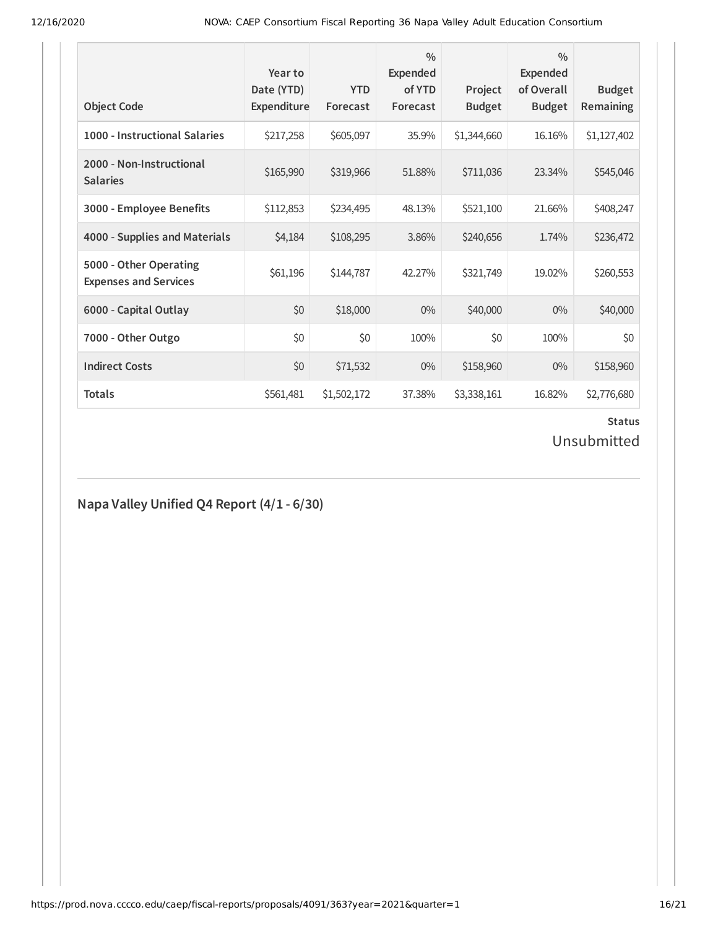| <b>Object Code</b>                                     | Year to<br>Date (YTD)<br>Expenditure | <b>YTD</b><br>Forecast | $\frac{0}{0}$<br><b>Expended</b><br>of YTD<br>Forecast | Project<br><b>Budget</b> | $\frac{0}{0}$<br><b>Expended</b><br>of Overall<br><b>Budget</b> | <b>Budget</b><br>Remaining |
|--------------------------------------------------------|--------------------------------------|------------------------|--------------------------------------------------------|--------------------------|-----------------------------------------------------------------|----------------------------|
| 1000 - Instructional Salaries                          | \$217,258                            | \$605,097              | 35.9%                                                  | \$1,344,660              | 16.16%                                                          | \$1,127,402                |
| 2000 - Non-Instructional<br><b>Salaries</b>            | \$165,990                            | \$319,966              | 51.88%                                                 | \$711,036                | 23.34%                                                          | \$545,046                  |
| 3000 - Employee Benefits                               | \$112,853                            | \$234,495              | 48.13%                                                 | \$521,100                | 21.66%                                                          | \$408,247                  |
| 4000 - Supplies and Materials                          | \$4,184                              | \$108,295              | 3.86%                                                  | \$240,656                | 1.74%                                                           | \$236,472                  |
| 5000 - Other Operating<br><b>Expenses and Services</b> | \$61,196                             | \$144,787              | 42.27%                                                 | \$321,749                | 19.02%                                                          | \$260,553                  |
| 6000 - Capital Outlay                                  | \$0                                  | \$18,000               | $0\%$                                                  | \$40,000                 | $0\%$                                                           | \$40,000                   |
| 7000 - Other Outgo                                     | \$0                                  | \$0                    | 100%                                                   | \$0                      | 100%                                                            | \$0                        |
| <b>Indirect Costs</b>                                  | \$0                                  | \$71,532               | $0\%$                                                  | \$158,960                | $0\%$                                                           | \$158,960                  |
| <b>Totals</b>                                          | \$561,481                            | \$1,502,172            | 37.38%                                                 | \$3,338,161              | 16.82%                                                          | \$2,776,680                |

# **Status**

Unsubmitted

#### **Napa Valley Unified Q4 Report (4/1 - 6/30)**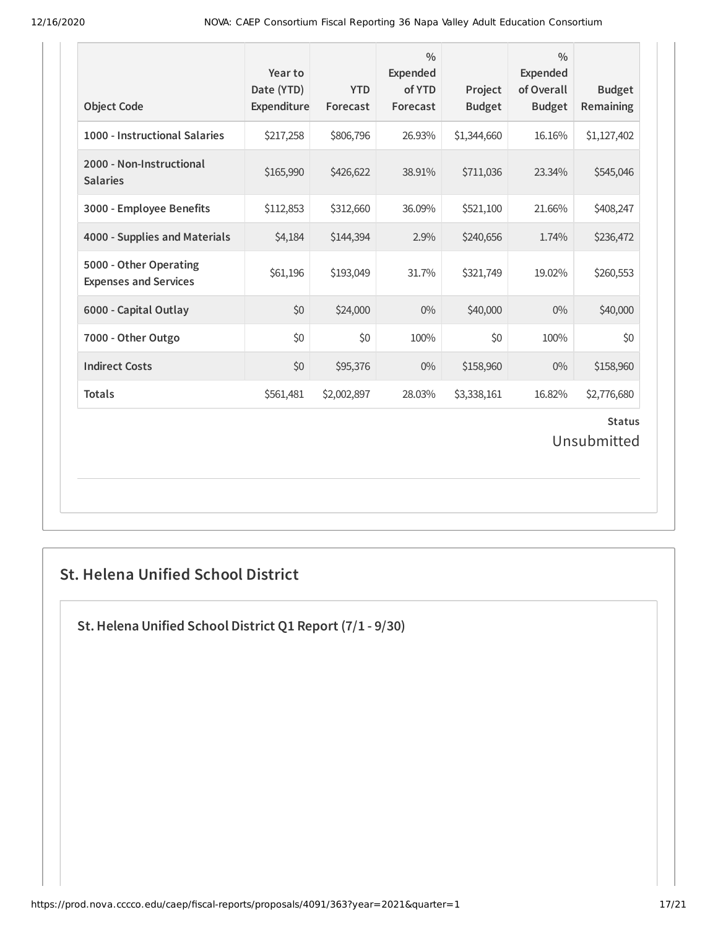| <b>Object Code</b>                                     | Year to<br>Date (YTD)<br>Expenditure | <b>YTD</b><br>Forecast | $\frac{0}{0}$<br>Expended<br>of YTD<br>Forecast | Project<br><b>Budget</b> | $\frac{0}{0}$<br><b>Expended</b><br>of Overall<br><b>Budget</b> | <b>Budget</b><br>Remaining |  |
|--------------------------------------------------------|--------------------------------------|------------------------|-------------------------------------------------|--------------------------|-----------------------------------------------------------------|----------------------------|--|
| 1000 - Instructional Salaries                          | \$217,258                            | \$806,796              | 26.93%                                          | \$1,344,660              | 16.16%                                                          | \$1,127,402                |  |
| 2000 - Non-Instructional<br><b>Salaries</b>            | \$165,990                            | \$426,622              | 38.91%                                          | \$711,036                | 23.34%                                                          | \$545,046                  |  |
| 3000 - Employee Benefits                               | \$112,853                            | \$312,660              | 36.09%                                          | \$521,100                | 21.66%                                                          | \$408,247                  |  |
| 4000 - Supplies and Materials                          | \$4,184                              | \$144,394              | 2.9%                                            | \$240,656                | 1.74%                                                           | \$236,472                  |  |
| 5000 - Other Operating<br><b>Expenses and Services</b> | \$61,196                             | \$193,049              | 31.7%                                           | \$321,749                | 19.02%                                                          | \$260,553                  |  |
| 6000 - Capital Outlay                                  | \$0                                  | \$24,000               | $0\%$                                           | \$40,000                 | 0%                                                              | \$40,000                   |  |
| 7000 - Other Outgo                                     | \$0                                  | \$0                    | 100%                                            | \$0                      | 100%                                                            | \$0                        |  |
| <b>Indirect Costs</b>                                  | \$0                                  | \$95,376               | $0\%$                                           | \$158,960                | $0\%$                                                           | \$158,960                  |  |
| <b>Totals</b>                                          | \$561,481                            | \$2,002,897            | 28.03%                                          | \$3,338,161              | 16.82%                                                          | \$2,776,680                |  |
| <b>Status</b><br>Unsubmitted                           |                                      |                        |                                                 |                          |                                                                 |                            |  |

### **St. Helena Unified School District**

**St.Helena Unified School District Q1 Report (7/1 - 9/30)**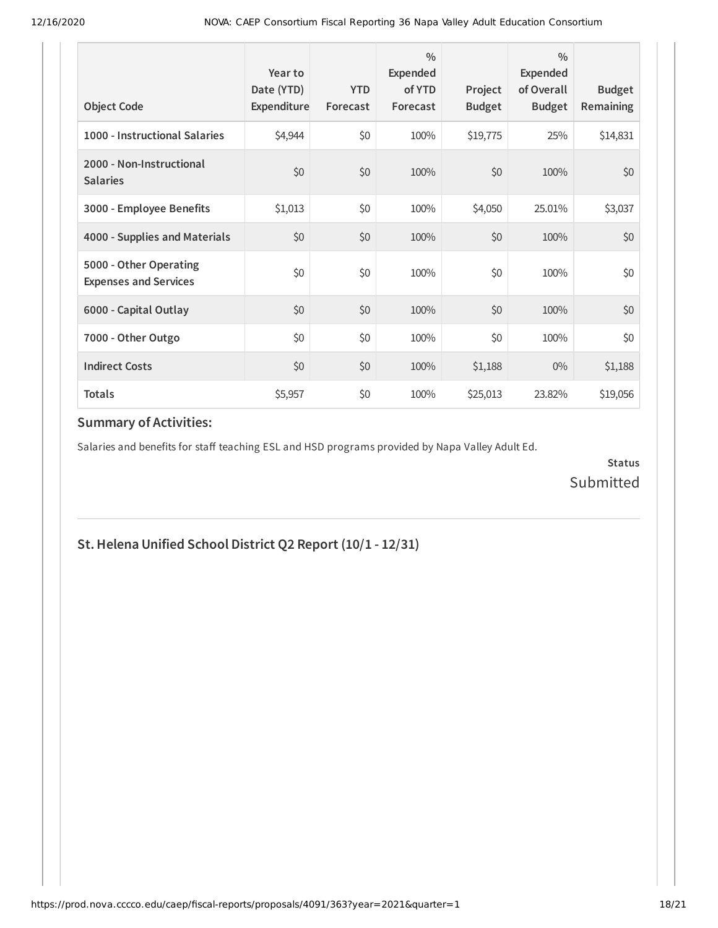| <b>Object Code</b>                                     | Year to<br>Date (YTD)<br>Expenditure | <b>YTD</b><br>Forecast | $\frac{0}{0}$<br>Expended<br>of YTD<br>Forecast | Project<br><b>Budget</b> | $\frac{0}{0}$<br>Expended<br>of Overall<br><b>Budget</b> | <b>Budget</b><br><b>Remaining</b> |
|--------------------------------------------------------|--------------------------------------|------------------------|-------------------------------------------------|--------------------------|----------------------------------------------------------|-----------------------------------|
| 1000 - Instructional Salaries                          | \$4,944                              | \$0                    | 100%                                            | \$19,775                 | 25%                                                      | \$14,831                          |
| 2000 - Non-Instructional<br><b>Salaries</b>            | \$0                                  | \$0                    | 100%                                            | \$0                      | 100%                                                     | \$0                               |
| 3000 - Employee Benefits                               | \$1,013                              | \$0                    | 100%                                            | \$4,050                  | 25.01%                                                   | \$3,037                           |
| 4000 - Supplies and Materials                          | \$0                                  | \$0                    | 100%                                            | \$0                      | 100%                                                     | \$0                               |
| 5000 - Other Operating<br><b>Expenses and Services</b> | \$0                                  | \$0                    | 100%                                            | \$0                      | 100%                                                     | \$0                               |
| 6000 - Capital Outlay                                  | \$0                                  | \$0                    | 100%                                            | \$0                      | 100%                                                     | \$0                               |
| 7000 - Other Outgo                                     | \$0                                  | \$0                    | 100%                                            | \$0                      | 100%                                                     | \$0                               |
| <b>Indirect Costs</b>                                  | \$0                                  | \$0                    | 100%                                            | \$1,188                  | $0\%$                                                    | \$1,188                           |
| <b>Totals</b>                                          | \$5,957                              | \$0                    | 100%                                            | \$25,013                 | 23.82%                                                   | \$19,056                          |

Salaries and benefits for staff teaching ESL and HSD programs provided by Napa Valley Adult Ed.

**Status** Submitted

#### **St.Helena Unified School District Q2 Report (10/1 - 12/31)**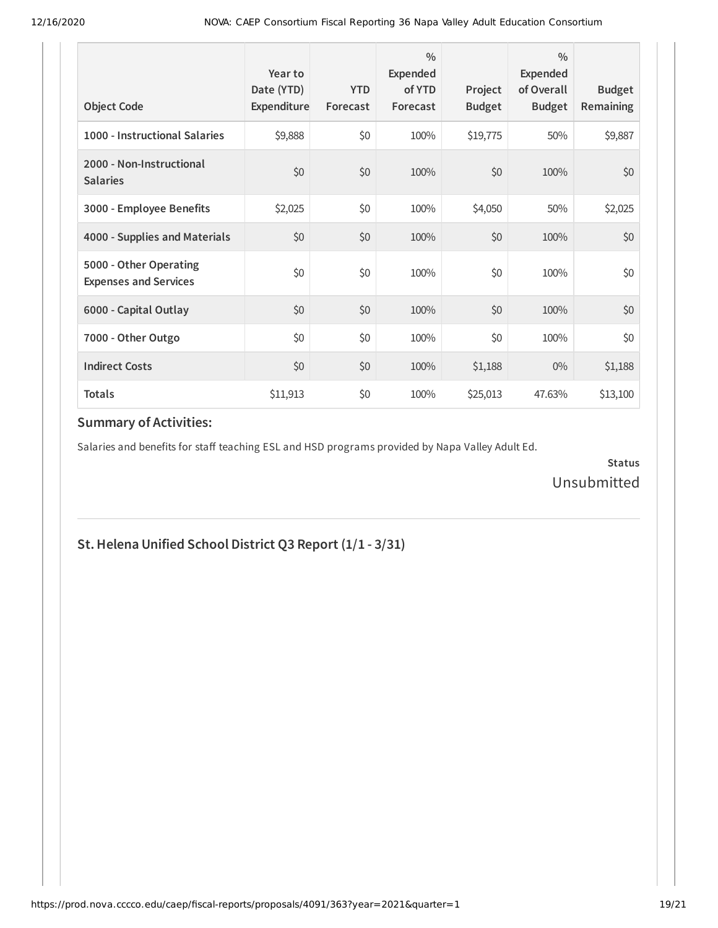| <b>Object Code</b>                                     | Year to<br>Date (YTD)<br>Expenditure | <b>YTD</b><br>Forecast | $\frac{0}{0}$<br>Expended<br>of YTD<br>Forecast | Project<br><b>Budget</b> | $\frac{0}{0}$<br>Expended<br>of Overall<br><b>Budget</b> | <b>Budget</b><br><b>Remaining</b> |
|--------------------------------------------------------|--------------------------------------|------------------------|-------------------------------------------------|--------------------------|----------------------------------------------------------|-----------------------------------|
| 1000 - Instructional Salaries                          | \$9,888                              | \$0                    | 100%                                            | \$19,775                 | 50%                                                      | \$9,887                           |
| 2000 - Non-Instructional<br><b>Salaries</b>            | \$0                                  | \$0                    | 100%                                            | \$0                      | 100%                                                     | \$0                               |
| 3000 - Employee Benefits                               | \$2,025                              | \$0                    | 100%                                            | \$4,050                  | 50%                                                      | \$2,025                           |
| 4000 - Supplies and Materials                          | \$0                                  | \$0                    | 100%                                            | \$0                      | 100%                                                     | \$0                               |
| 5000 - Other Operating<br><b>Expenses and Services</b> | \$0                                  | \$0                    | 100%                                            | \$0                      | 100%                                                     | \$0                               |
| 6000 - Capital Outlay                                  | \$0                                  | \$0                    | 100%                                            | \$0                      | 100%                                                     | \$0                               |
| 7000 - Other Outgo                                     | \$0                                  | \$0                    | 100%                                            | \$0                      | 100%                                                     | \$0                               |
| <b>Indirect Costs</b>                                  | \$0                                  | \$0                    | 100%                                            | \$1,188                  | $0\%$                                                    | \$1,188                           |
| <b>Totals</b>                                          | \$11,913                             | \$0                    | 100%                                            | \$25,013                 | 47.63%                                                   | \$13,100                          |

Salaries and benefits for staff teaching ESL and HSD programs provided by Napa Valley Adult Ed.

**Status** Unsubmitted

#### **St.Helena Unified School District Q3 Report (1/1 - 3/31)**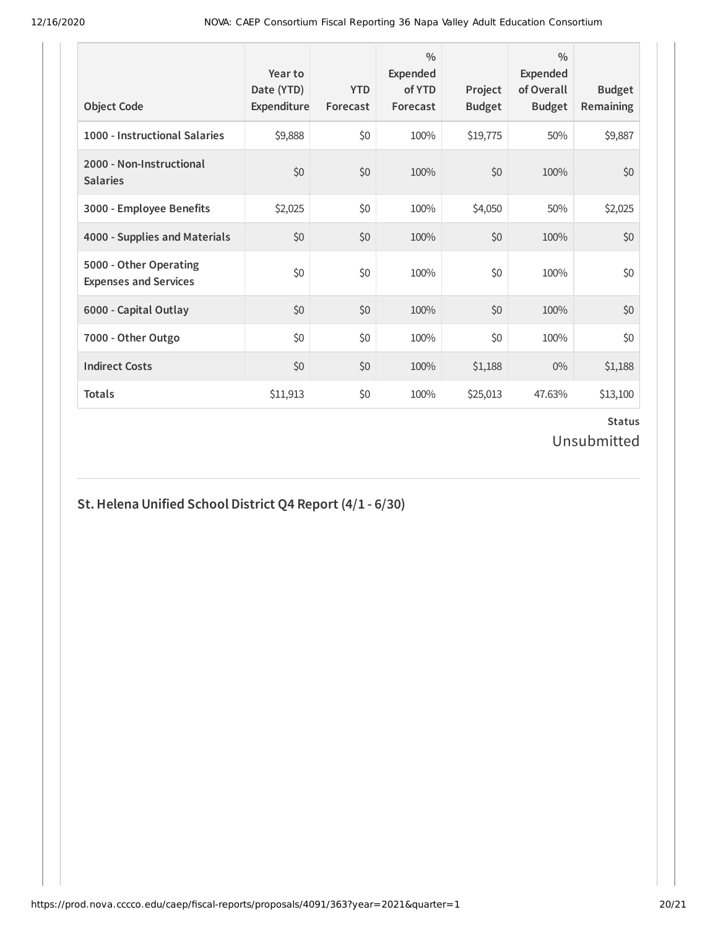| <b>Object Code</b>                                     | Year to<br>Date (YTD)<br>Expenditure | <b>YTD</b><br>Forecast | $\frac{0}{0}$<br>Expended<br>of YTD<br>Forecast | Project<br><b>Budget</b> | $\frac{0}{0}$<br>Expended<br>of Overall<br><b>Budget</b> | <b>Budget</b><br>Remaining |
|--------------------------------------------------------|--------------------------------------|------------------------|-------------------------------------------------|--------------------------|----------------------------------------------------------|----------------------------|
| 1000 - Instructional Salaries                          | \$9,888                              | \$0                    | 100%                                            | \$19,775                 | 50%                                                      | \$9,887                    |
| 2000 - Non-Instructional<br><b>Salaries</b>            | \$0                                  | \$0                    | 100%                                            | \$0                      | 100%                                                     | \$0                        |
| 3000 - Employee Benefits                               | \$2,025                              | \$0                    | 100%                                            | \$4,050                  | 50%                                                      | \$2,025                    |
| 4000 - Supplies and Materials                          | \$0                                  | \$0                    | 100%                                            | \$0                      | 100%                                                     | \$0                        |
| 5000 - Other Operating<br><b>Expenses and Services</b> | \$0                                  | \$0                    | 100%                                            | \$0                      | 100%                                                     | \$0                        |
| 6000 - Capital Outlay                                  | \$0                                  | \$0                    | 100%                                            | \$0                      | 100%                                                     | \$0                        |
| 7000 - Other Outgo                                     | \$0                                  | \$0                    | 100%                                            | \$0                      | 100%                                                     | \$0                        |
| <b>Indirect Costs</b>                                  | \$0                                  | \$0                    | 100%                                            | \$1,188                  | $0\%$                                                    | \$1,188                    |
| <b>Totals</b>                                          | \$11,913                             | \$0                    | 100%                                            | \$25,013                 | 47.63%                                                   | \$13,100                   |

# **St.Helena Unified School District Q4 Report (4/1 - 6/30)**